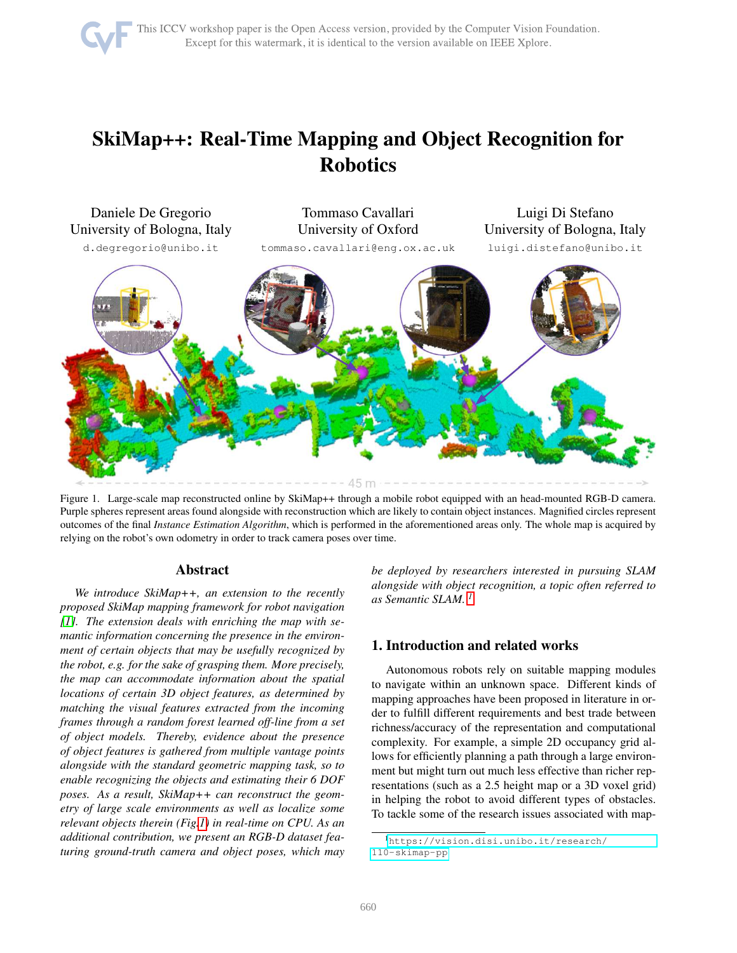# SkiMap++: Real-Time Mapping and Object Recognition for Robotics



<span id="page-0-0"></span>Figure 1. Large-scale map reconstructed online by SkiMap++ through a mobile robot equipped with an head-mounted RGB-D camera. Purple spheres represent areas found alongside with reconstruction which are likely to contain object instances. Magnified circles represent outcomes of the final *Instance Estimation Algorithm*, which is performed in the aforementioned areas only. The whole map is acquired by relying on the robot's own odometry in order to track camera poses over time.

# Abstract

*We introduce SkiMap++, an extension to the recently proposed SkiMap mapping framework for robot navigation [\[1\]](#page-8-0). The extension deals with enriching the map with semantic information concerning the presence in the environment of certain objects that may be usefully recognized by the robot, e.g. for the sake of grasping them. More precisely, the map can accommodate information about the spatial locations of certain 3D object features, as determined by matching the visual features extracted from the incoming frames through a random forest learned off-line from a set of object models. Thereby, evidence about the presence of object features is gathered from multiple vantage points alongside with the standard geometric mapping task, so to enable recognizing the objects and estimating their 6 DOF poses. As a result, SkiMap++ can reconstruct the geometry of large scale environments as well as localize some relevant objects therein (Fig[.1\)](#page-0-0) in real-time on CPU. As an additional contribution, we present an RGB-D dataset featuring ground-truth camera and object poses, which may* *be deployed by researchers interested in pursuing SLAM alongside with object recognition, a topic often referred to as Semantic SLAM. [1](#page-0-1)*

# 1. Introduction and related works

Autonomous robots rely on suitable mapping modules to navigate within an unknown space. Different kinds of mapping approaches have been proposed in literature in order to fulfill different requirements and best trade between richness/accuracy of the representation and computational complexity. For example, a simple 2D occupancy grid allows for efficiently planning a path through a large environment but might turn out much less effective than richer representations (such as a 2.5 height map or a 3D voxel grid) in helping the robot to avoid different types of obstacles. To tackle some of the research issues associated with map-

<span id="page-0-1"></span><sup>1</sup>[https://vision.disi.unibo.it/research/](https://vision.disi.unibo.it/research/110-skimap-pp) [110-skimap-pp](https://vision.disi.unibo.it/research/110-skimap-pp)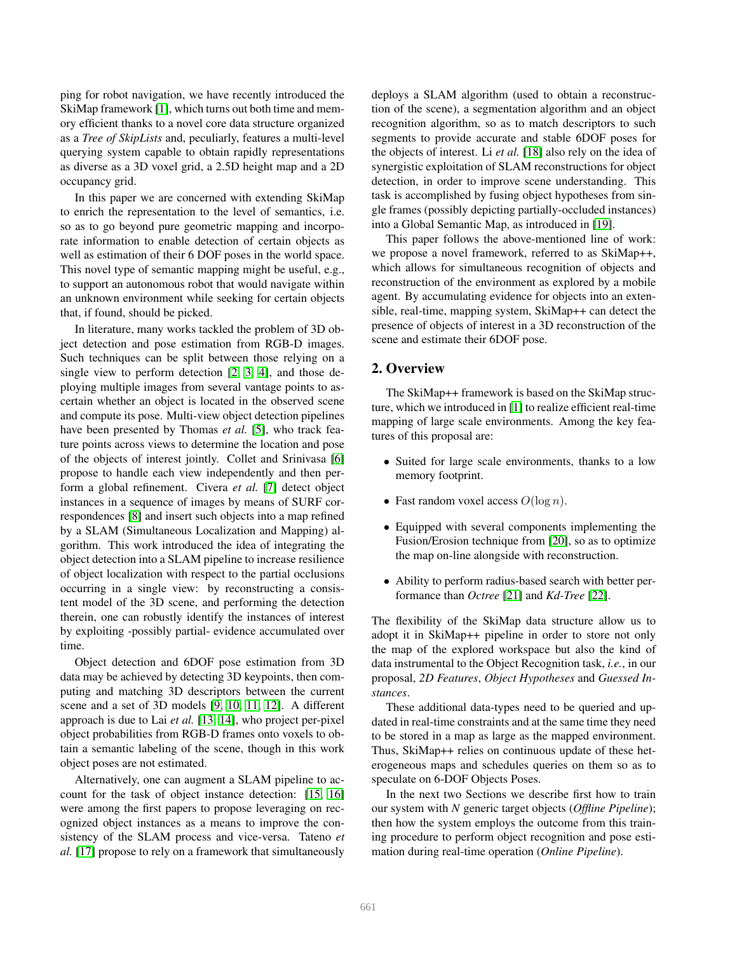ping for robot navigation, we have recently introduced the SkiMap framework [\[1\]](#page-8-0), which turns out both time and memory efficient thanks to a novel core data structure organized as a *Tree of SkipLists* and, peculiarly, features a multi-level querying system capable to obtain rapidly representations as diverse as a 3D voxel grid, a 2.5D height map and a 2D occupancy grid.

In this paper we are concerned with extending SkiMap to enrich the representation to the level of semantics, i.e. so as to go beyond pure geometric mapping and incorporate information to enable detection of certain objects as well as estimation of their 6 DOF poses in the world space. This novel type of semantic mapping might be useful, e.g., to support an autonomous robot that would navigate within an unknown environment while seeking for certain objects that, if found, should be picked.

In literature, many works tackled the problem of 3D object detection and pose estimation from RGB-D images. Such techniques can be split between those relying on a single view to perform detection [\[2,](#page-8-1) [3,](#page-8-2) [4\]](#page-8-3), and those deploying multiple images from several vantage points to ascertain whether an object is located in the observed scene and compute its pose. Multi-view object detection pipelines have been presented by Thomas et al. [\[5\]](#page-8-4), who track feature points across views to determine the location and pose of the objects of interest jointly. Collet and Srinivasa [\[6\]](#page-8-5) propose to handle each view independently and then perform a global refinement. Civera *et al.* [\[7\]](#page-8-6) detect object instances in a sequence of images by means of SURF correspondences [\[8\]](#page-8-7) and insert such objects into a map refined by a SLAM (Simultaneous Localization and Mapping) algorithm. This work introduced the idea of integrating the object detection into a SLAM pipeline to increase resilience of object localization with respect to the partial occlusions occurring in a single view: by reconstructing a consistent model of the 3D scene, and performing the detection therein, one can robustly identify the instances of interest by exploiting -possibly partial- evidence accumulated over time.

Object detection and 6DOF pose estimation from 3D data may be achieved by detecting 3D keypoints, then computing and matching 3D descriptors between the current scene and a set of 3D models [\[9,](#page-8-8) [10,](#page-8-9) [11,](#page-8-10) [12\]](#page-8-11). A different approach is due to Lai *et al.* [\[13,](#page-8-12) [14\]](#page-8-13), who project per-pixel object probabilities from RGB-D frames onto voxels to obtain a semantic labeling of the scene, though in this work object poses are not estimated.

Alternatively, one can augment a SLAM pipeline to account for the task of object instance detection: [\[15,](#page-8-14) [16\]](#page-8-15) were among the first papers to propose leveraging on recognized object instances as a means to improve the consistency of the SLAM process and vice-versa. Tateno *et al.* [\[17\]](#page-8-16) propose to rely on a framework that simultaneously deploys a SLAM algorithm (used to obtain a reconstruction of the scene), a segmentation algorithm and an object recognition algorithm, so as to match descriptors to such segments to provide accurate and stable 6DOF poses for the objects of interest. Li *et al.* [\[18\]](#page-8-17) also rely on the idea of synergistic exploitation of SLAM reconstructions for object detection, in order to improve scene understanding. This task is accomplished by fusing object hypotheses from single frames (possibly depicting partially-occluded instances) into a Global Semantic Map, as introduced in [\[19\]](#page-8-18).

This paper follows the above-mentioned line of work: we propose a novel framework, referred to as SkiMap++, which allows for simultaneous recognition of objects and reconstruction of the environment as explored by a mobile agent. By accumulating evidence for objects into an extensible, real-time, mapping system, SkiMap++ can detect the presence of objects of interest in a 3D reconstruction of the scene and estimate their 6DOF pose.

## 2. Overview

The SkiMap++ framework is based on the SkiMap structure, which we introduced in [\[1\]](#page-8-0) to realize efficient real-time mapping of large scale environments. Among the key features of this proposal are:

- Suited for large scale environments, thanks to a low memory footprint.
- Fast random voxel access  $O(\log n)$ .
- Equipped with several components implementing the Fusion/Erosion technique from [\[20\]](#page-8-19), so as to optimize the map on-line alongside with reconstruction.
- Ability to perform radius-based search with better performance than *Octree* [\[21\]](#page-8-20) and *Kd-Tree* [\[22\]](#page-8-21).

The flexibility of the SkiMap data structure allow us to adopt it in SkiMap++ pipeline in order to store not only the map of the explored workspace but also the kind of data instrumental to the Object Recognition task, *i.e.*, in our proposal, *2D Features*, *Object Hypotheses* and *Guessed Instances*.

These additional data-types need to be queried and updated in real-time constraints and at the same time they need to be stored in a map as large as the mapped environment. Thus, SkiMap++ relies on continuous update of these heterogeneous maps and schedules queries on them so as to speculate on 6-DOF Objects Poses.

In the next two Sections we describe first how to train our system with *N* generic target objects (*Offline Pipeline*); then how the system employs the outcome from this training procedure to perform object recognition and pose estimation during real-time operation (*Online Pipeline*).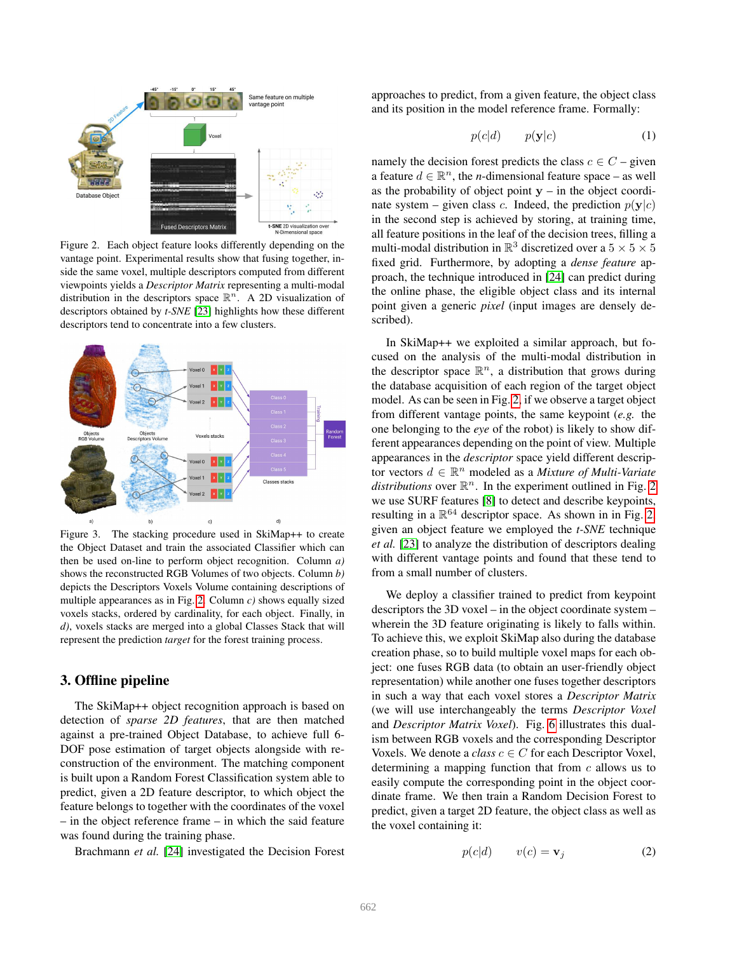

<span id="page-2-0"></span>Figure 2. Each object feature looks differently depending on the vantage point. Experimental results show that fusing together, inside the same voxel, multiple descriptors computed from different viewpoints yields a *Descriptor Matrix* representing a multi-modal distribution in the descriptors space  $\mathbb{R}^n$ . A 2D visualization of descriptors obtained by *t-SNE* [\[23\]](#page-8-22) highlights how these different descriptors tend to concentrate into a few clusters.



<span id="page-2-2"></span>Figure 3. The stacking procedure used in SkiMap++ to create the Object Dataset and train the associated Classifier which can then be used on-line to perform object recognition. Column *a)* shows the reconstructed RGB Volumes of two objects. Column *b)* depicts the Descriptors Voxels Volume containing descriptions of multiple appearances as in Fig. [2.](#page-2-0) Column *c)* shows equally sized voxels stacks, ordered by cardinality, for each object. Finally, in *d)*, voxels stacks are merged into a global Classes Stack that will represent the prediction *target* for the forest training process.

# <span id="page-2-3"></span>3. Offline pipeline

The SkiMap++ object recognition approach is based on detection of *sparse 2D features*, that are then matched against a pre-trained Object Database, to achieve full 6- DOF pose estimation of target objects alongside with reconstruction of the environment. The matching component is built upon a Random Forest Classification system able to predict, given a 2D feature descriptor, to which object the feature belongs to together with the coordinates of the voxel – in the object reference frame – in which the said feature was found during the training phase.

Brachmann *et al.* [\[24\]](#page-8-23) investigated the Decision Forest

approaches to predict, from a given feature, the object class and its position in the model reference frame. Formally:

<span id="page-2-1"></span>
$$
p(c|d) \qquad p(\mathbf{y}|c) \tag{1}
$$

namely the decision forest predicts the class  $c \in C$  – given a feature  $d \in \mathbb{R}^n$ , the *n*-dimensional feature space – as well as the probability of object point  $y - in$  the object coordinate system – given class c. Indeed, the prediction  $p(y|c)$ in the second step is achieved by storing, at training time, all feature positions in the leaf of the decision trees, filling a multi-modal distribution in  $\mathbb{R}^3$  discretized over a  $5 \times 5 \times 5$ fixed grid. Furthermore, by adopting a *dense feature* approach, the technique introduced in [\[24\]](#page-8-23) can predict during the online phase, the eligible object class and its internal point given a generic *pixel* (input images are densely described).

In SkiMap++ we exploited a similar approach, but focused on the analysis of the multi-modal distribution in the descriptor space  $\mathbb{R}^n$ , a distribution that grows during the database acquisition of each region of the target object model. As can be seen in Fig. [2,](#page-2-0) if we observe a target object from different vantage points, the same keypoint (*e.g.* the one belonging to the *eye* of the robot) is likely to show different appearances depending on the point of view. Multiple appearances in the *descriptor* space yield different descriptor vectors  $d \in \mathbb{R}^n$  modeled as a *Mixture of Multi-Variate distributions* over  $\mathbb{R}^n$ . In the experiment outlined in Fig. [2](#page-2-0) we use SURF features [\[8\]](#page-8-7) to detect and describe keypoints, resulting in a  $\mathbb{R}^{64}$  descriptor space. As shown in in Fig. [2,](#page-2-0) given an object feature we employed the *t-SNE* technique *et al.* [\[23\]](#page-8-22) to analyze the distribution of descriptors dealing with different vantage points and found that these tend to from a small number of clusters.

We deploy a classifier trained to predict from keypoint descriptors the 3D voxel – in the object coordinate system – wherein the 3D feature originating is likely to falls within. To achieve this, we exploit SkiMap also during the database creation phase, so to build multiple voxel maps for each object: one fuses RGB data (to obtain an user-friendly object representation) while another one fuses together descriptors in such a way that each voxel stores a *Descriptor Matrix* (we will use interchangeably the terms *Descriptor Voxel* and *Descriptor Matrix Voxel*). Fig. [6](#page-4-0) illustrates this dualism between RGB voxels and the corresponding Descriptor Voxels. We denote a *class*  $c \in C$  for each Descriptor Voxel, determining a mapping function that from  $c$  allows us to easily compute the corresponding point in the object coordinate frame. We then train a Random Decision Forest to predict, given a target 2D feature, the object class as well as the voxel containing it:

$$
p(c|d) \qquad v(c) = \mathbf{v}_j \tag{2}
$$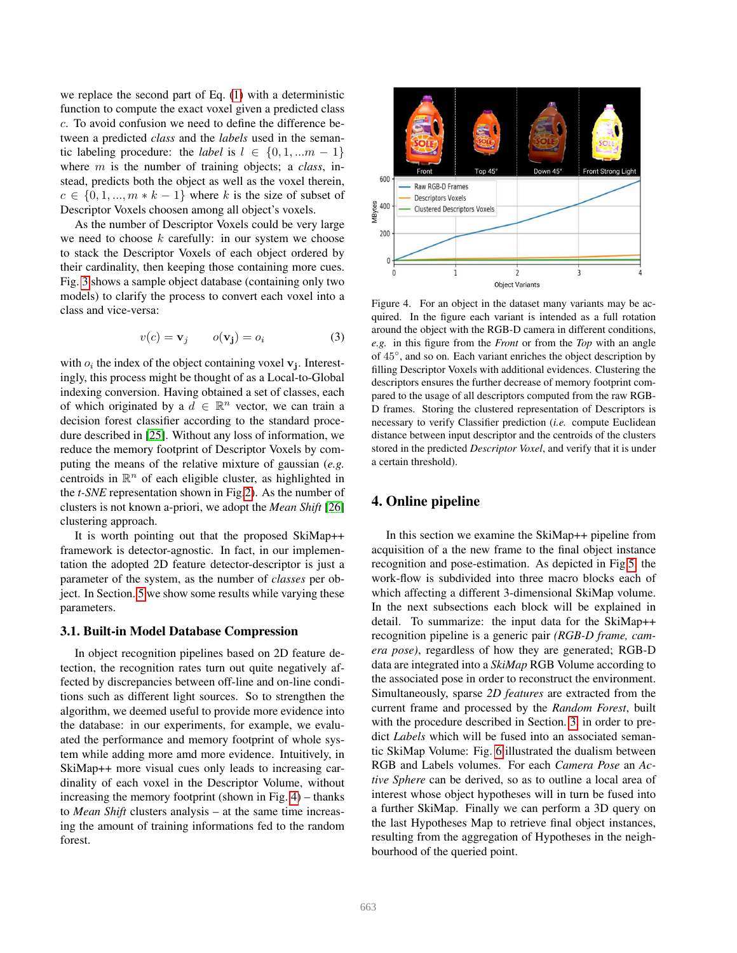we replace the second part of Eq. [\(1\)](#page-2-1) with a deterministic function to compute the exact voxel given a predicted class c. To avoid confusion we need to define the difference between a predicted *class* and the *labels* used in the semantic labeling procedure: the *label* is  $l \in \{0, 1, ...m - 1\}$ where m is the number of training objects; a *class*, instead, predicts both the object as well as the voxel therein,  $c \in \{0, 1, ..., m * k - 1\}$  where k is the size of subset of Descriptor Voxels choosen among all object's voxels.

As the number of Descriptor Voxels could be very large we need to choose  $k$  carefully: in our system we choose to stack the Descriptor Voxels of each object ordered by their cardinality, then keeping those containing more cues. Fig. [3](#page-2-2) shows a sample object database (containing only two models) to clarify the process to convert each voxel into a class and vice-versa:

<span id="page-3-1"></span>
$$
v(c) = \mathbf{v}_j \qquad o(\mathbf{v}_j) = o_i \tag{3}
$$

with  $o_i$  the index of the object containing voxel  $v_j$ . Interestingly, this process might be thought of as a Local-to-Global indexing conversion. Having obtained a set of classes, each of which originated by a  $d \in \mathbb{R}^n$  vector, we can train a decision forest classifier according to the standard procedure described in [\[25\]](#page-8-24). Without any loss of information, we reduce the memory footprint of Descriptor Voxels by computing the means of the relative mixture of gaussian (*e.g.* centroids in  $\mathbb{R}^n$  of each eligible cluster, as highlighted in the *t-SNE* representation shown in Fig[.2\)](#page-2-0). As the number of clusters is not known a-priori, we adopt the *Mean Shift* [\[26\]](#page-8-25) clustering approach.

It is worth pointing out that the proposed SkiMap++ framework is detector-agnostic. In fact, in our implementation the adopted 2D feature detector-descriptor is just a parameter of the system, as the number of *classes* per object. In Section. [5](#page-6-0) we show some results while varying these parameters.

#### 3.1. Built-in Model Database Compression

In object recognition pipelines based on 2D feature detection, the recognition rates turn out quite negatively affected by discrepancies between off-line and on-line conditions such as different light sources. So to strengthen the algorithm, we deemed useful to provide more evidence into the database: in our experiments, for example, we evaluated the performance and memory footprint of whole system while adding more amd more evidence. Intuitively, in SkiMap++ more visual cues only leads to increasing cardinality of each voxel in the Descriptor Volume, without increasing the memory footprint (shown in Fig. [4\)](#page-3-0) – thanks to *Mean Shift* clusters analysis – at the same time increasing the amount of training informations fed to the random forest.



<span id="page-3-0"></span>Figure 4. For an object in the dataset many variants may be acquired. In the figure each variant is intended as a full rotation around the object with the RGB-D camera in different conditions, *e.g.* in this figure from the *Front* or from the *Top* with an angle of 45◦ , and so on. Each variant enriches the object description by filling Descriptor Voxels with additional evidences. Clustering the descriptors ensures the further decrease of memory footprint compared to the usage of all descriptors computed from the raw RGB-D frames. Storing the clustered representation of Descriptors is necessary to verify Classifier prediction (*i.e.* compute Euclidean distance between input descriptor and the centroids of the clusters stored in the predicted *Descriptor Voxel*, and verify that it is under a certain threshold).

# 4. Online pipeline

In this section we examine the SkiMap++ pipeline from acquisition of a the new frame to the final object instance recognition and pose-estimation. As depicted in Fig[.5,](#page-4-1) the work-flow is subdivided into three macro blocks each of which affecting a different 3-dimensional SkiMap volume. In the next subsections each block will be explained in detail. To summarize: the input data for the SkiMap++ recognition pipeline is a generic pair *(RGB-D frame, camera pose)*, regardless of how they are generated; RGB-D data are integrated into a *SkiMap* RGB Volume according to the associated pose in order to reconstruct the environment. Simultaneously, sparse *2D features* are extracted from the current frame and processed by the *Random Forest*, built with the procedure described in Section. [3,](#page-2-3) in order to predict *Labels* which will be fused into an associated semantic SkiMap Volume: Fig. [6](#page-4-0) illustrated the dualism between RGB and Labels volumes. For each *Camera Pose* an *Active Sphere* can be derived, so as to outline a local area of interest whose object hypotheses will in turn be fused into a further SkiMap. Finally we can perform a 3D query on the last Hypotheses Map to retrieve final object instances, resulting from the aggregation of Hypotheses in the neighbourhood of the queried point.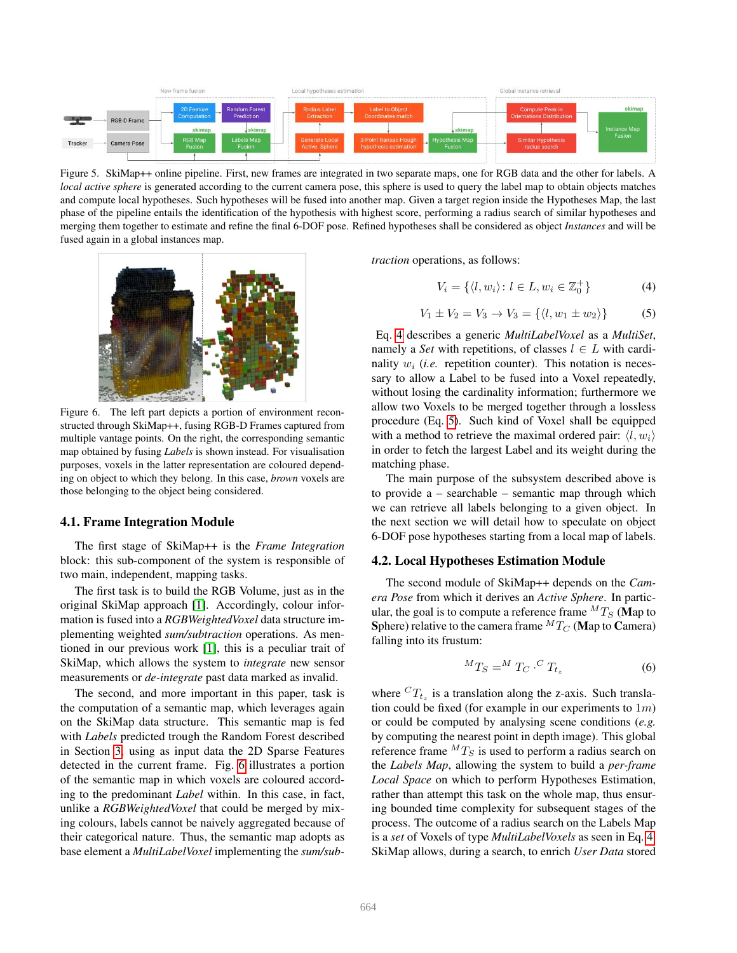

<span id="page-4-1"></span>Figure 5. SkiMap++ online pipeline. First, new frames are integrated in two separate maps, one for RGB data and the other for labels. A *local active sphere* is generated according to the current camera pose, this sphere is used to query the label map to obtain objects matches and compute local hypotheses. Such hypotheses will be fused into another map. Given a target region inside the Hypotheses Map, the last phase of the pipeline entails the identification of the hypothesis with highest score, performing a radius search of similar hypotheses and merging them together to estimate and refine the final 6-DOF pose. Refined hypotheses shall be considered as object *Instances* and will be fused again in a global instances map.



Figure 6. The left part depicts a portion of environment reconstructed through SkiMap++, fusing RGB-D Frames captured from multiple vantage points. On the right, the corresponding semantic map obtained by fusing *Labels* is shown instead. For visualisation purposes, voxels in the latter representation are coloured depending on object to which they belong. In this case, *brown* voxels are those belonging to the object being considered.

## <span id="page-4-0"></span>4.1. Frame Integration Module

The first stage of SkiMap++ is the *Frame Integration* block: this sub-component of the system is responsible of two main, independent, mapping tasks.

The first task is to build the RGB Volume, just as in the original SkiMap approach [\[1\]](#page-8-0). Accordingly, colour information is fused into a *RGBWeightedVoxel* data structure implementing weighted *sum/subtraction* operations. As mentioned in our previous work [\[1\]](#page-8-0), this is a peculiar trait of SkiMap, which allows the system to *integrate* new sensor measurements or *de-integrate* past data marked as invalid.

The second, and more important in this paper, task is the computation of a semantic map, which leverages again on the SkiMap data structure. This semantic map is fed with *Labels* predicted trough the Random Forest described in Section [3,](#page-2-3) using as input data the 2D Sparse Features detected in the current frame. Fig. [6](#page-4-0) illustrates a portion of the semantic map in which voxels are coloured according to the predominant *Label* within. In this case, in fact, unlike a *RGBWeightedVoxel* that could be merged by mixing colours, labels cannot be naively aggregated because of their categorical nature. Thus, the semantic map adopts as base element a *MultiLabelVoxel* implementing the *sum/sub-* *traction* operations, as follows:

<span id="page-4-2"></span>
$$
V_i = \{ \langle l, w_i \rangle : l \in L, w_i \in \mathbb{Z}_0^+ \} \tag{4}
$$

<span id="page-4-3"></span>
$$
V_1 \pm V_2 = V_3 \to V_3 = \{ \langle l, w_1 \pm w_2 \rangle \}
$$
 (5)

Eq. [4](#page-4-2) describes a generic *MultiLabelVoxel* as a *MultiSet*, namely a *Set* with repetitions, of classes  $l \in L$  with cardinality  $w_i$  (*i.e.* repetition counter). This notation is necessary to allow a Label to be fused into a Voxel repeatedly, without losing the cardinality information; furthermore we allow two Voxels to be merged together through a lossless procedure (Eq. [5\)](#page-4-3). Such kind of Voxel shall be equipped with a method to retrieve the maximal ordered pair:  $\langle l, w_i \rangle$ in order to fetch the largest Label and its weight during the matching phase.

The main purpose of the subsystem described above is to provide a – searchable – semantic map through which we can retrieve all labels belonging to a given object. In the next section we will detail how to speculate on object 6-DOF pose hypotheses starting from a local map of labels.

#### 4.2. Local Hypotheses Estimation Module

The second module of SkiMap++ depends on the *Camera Pose* from which it derives an *Active Sphere*. In particular, the goal is to compute a reference frame  ${}^{M}T_{S}$  (Map to Sphere) relative to the camera frame  ${}^{M}T_{C}$  (Map to Camera) falling into its frustum:

$$
{}^{M}T_{S} = {}^{M}T_{C} \cdot {}^{C}T_{t_{z}} \tag{6}
$$

where  ${}^{C}T_{t_z}$  is a translation along the z-axis. Such translation could be fixed (for example in our experiments to  $1m$ ) or could be computed by analysing scene conditions (*e.g.* by computing the nearest point in depth image). This global reference frame  ${}^{M}T_{S}$  is used to perform a radius search on the *Labels Map*, allowing the system to build a *per-frame Local Space* on which to perform Hypotheses Estimation, rather than attempt this task on the whole map, thus ensuring bounded time complexity for subsequent stages of the process. The outcome of a radius search on the Labels Map is a *set* of Voxels of type *MultiLabelVoxels* as seen in Eq. [4.](#page-4-2) SkiMap allows, during a search, to enrich *User Data* stored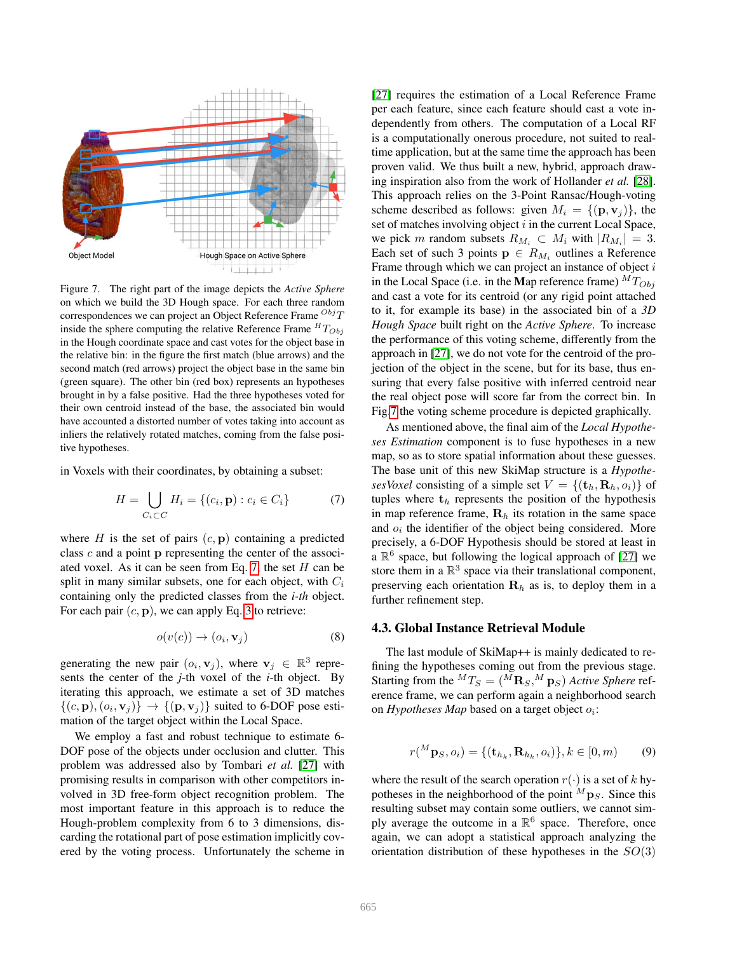

<span id="page-5-1"></span>Figure 7. The right part of the image depicts the *Active Sphere* on which we build the 3D Hough space. For each three random correspondences we can project an Object Reference Frame  $^{Obj}T$ inside the sphere computing the relative Reference Frame  ${}^{H}T_{Obj}$ in the Hough coordinate space and cast votes for the object base in the relative bin: in the figure the first match (blue arrows) and the second match (red arrows) project the object base in the same bin (green square). The other bin (red box) represents an hypotheses brought in by a false positive. Had the three hypotheses voted for their own centroid instead of the base, the associated bin would have accounted a distorted number of votes taking into account as inliers the relatively rotated matches, coming from the false positive hypotheses.

in Voxels with their coordinates, by obtaining a subset:

<span id="page-5-0"></span>
$$
H = \bigcup_{C_i \subset C} H_i = \{(c_i, \mathbf{p}) : c_i \in C_i\}
$$
 (7)

where H is the set of pairs  $(c, \mathbf{p})$  containing a predicted class c and a point p representing the center of the associ-ated voxel. As it can be seen from Eq. [7,](#page-5-0) the set  $H$  can be split in many similar subsets, one for each object, with  $C_i$ containing only the predicted classes from the *i-th* object. For each pair  $(c, p)$ , we can apply Eq. [3](#page-3-1) to retrieve:

$$
o(v(c)) \to (o_i, \mathbf{v}_j) \tag{8}
$$

generating the new pair  $(o_i, \mathbf{v}_j)$ , where  $\mathbf{v}_j \in \mathbb{R}^3$  represents the center of the *j*-th voxel of the *i*-th object. By iterating this approach, we estimate a set of 3D matches  $\{(c, \mathbf{p}), (o_i, \mathbf{v}_j)\} \rightarrow \{(\mathbf{p}, \mathbf{v}_j)\}$  suited to 6-DOF pose estimation of the target object within the Local Space.

We employ a fast and robust technique to estimate 6- DOF pose of the objects under occlusion and clutter. This problem was addressed also by Tombari *et al.* [\[27\]](#page-8-26) with promising results in comparison with other competitors involved in 3D free-form object recognition problem. The most important feature in this approach is to reduce the Hough-problem complexity from 6 to 3 dimensions, discarding the rotational part of pose estimation implicitly covered by the voting process. Unfortunately the scheme in [\[27\]](#page-8-26) requires the estimation of a Local Reference Frame per each feature, since each feature should cast a vote independently from others. The computation of a Local RF is a computationally onerous procedure, not suited to realtime application, but at the same time the approach has been proven valid. We thus built a new, hybrid, approach drawing inspiration also from the work of Hollander *et al.* [\[28\]](#page-8-27). This approach relies on the 3-Point Ransac/Hough-voting scheme described as follows: given  $M_i = \{(\mathbf{p}, \mathbf{v}_j)\}\$ , the set of matches involving object  $i$  in the current Local Space, we pick m random subsets  $R_{M_i} \subset M_i$  with  $|R_{M_i}| = 3$ . Each set of such 3 points  $p \in R_{M_i}$  outlines a Reference Frame through which we can project an instance of object i in the Local Space (i.e. in the Map reference frame)  ${}^{M}T_{Obj}$ and cast a vote for its centroid (or any rigid point attached to it, for example its base) in the associated bin of a *3D Hough Space* built right on the *Active Sphere*. To increase the performance of this voting scheme, differently from the approach in [\[27\]](#page-8-26), we do not vote for the centroid of the projection of the object in the scene, but for its base, thus ensuring that every false positive with inferred centroid near the real object pose will score far from the correct bin. In Fig[.7](#page-5-1) the voting scheme procedure is depicted graphically.

As mentioned above, the final aim of the *Local Hypotheses Estimation* component is to fuse hypotheses in a new map, so as to store spatial information about these guesses. The base unit of this new SkiMap structure is a *HypothesesVoxel* consisting of a simple set  $V = \{(\mathbf{t}_h, \mathbf{R}_h, o_i)\}\$  of tuples where  $t<sub>h</sub>$  represents the position of the hypothesis in map reference frame,  $\mathbf{R}_h$  its rotation in the same space and  $o_i$  the identifier of the object being considered. More precisely, a 6-DOF Hypothesis should be stored at least in a  $\mathbb{R}^6$  space, but following the logical approach of [\[27\]](#page-8-26) we store them in a  $\mathbb{R}^3$  space via their translational component, preserving each orientation  $\mathbf{R}_h$  as is, to deploy them in a further refinement step.

#### 4.3. Global Instance Retrieval Module

The last module of SkiMap++ is mainly dedicated to refining the hypotheses coming out from the previous stage. Starting from the  ${}^MT_S = ({}^M{\rm\bf R}_S, {}^M{\rm\bf p}_S)$  *Active Sphere* reference frame, we can perform again a neighborhood search on  $Hypotheses$  Map based on a target object  $o_i$ :

$$
r({}^{M}\mathbf{p}_{S},o_{i}) = {\{\mathbf{(t)}_{h_{k}}, \mathbf{R}_{h_{k}},o_{i})\}, k \in [0, m\}} \qquad (9)
$$

where the result of the search operation  $r(\cdot)$  is a set of k hypotheses in the neighborhood of the point  $^{M}P_{S}$ . Since this resulting subset may contain some outliers, we cannot simply average the outcome in a  $\mathbb{R}^6$  space. Therefore, once again, we can adopt a statistical approach analyzing the orientation distribution of these hypotheses in the  $SO(3)$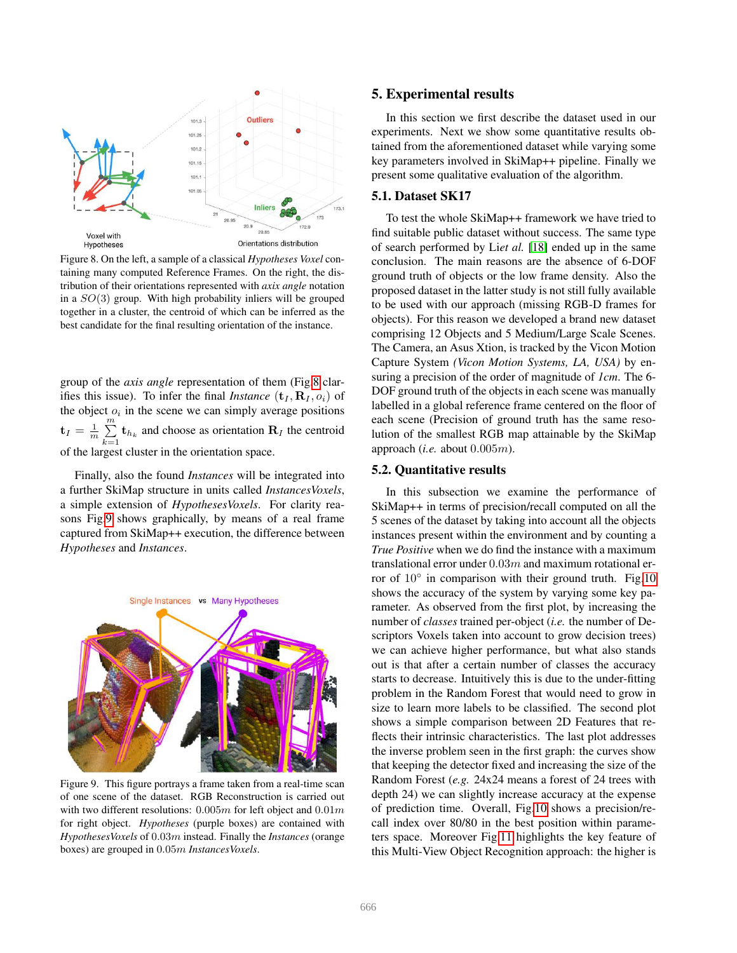

<span id="page-6-1"></span>Figure 8. On the left, a sample of a classical *Hypotheses Voxel* containing many computed Reference Frames. On the right, the distribution of their orientations represented with *axix angle* notation in a  $SO(3)$  group. With high probability inliers will be grouped together in a cluster, the centroid of which can be inferred as the best candidate for the final resulting orientation of the instance.

group of the *axis angle* representation of them (Fig[.8](#page-6-1) clarifies this issue). To infer the final *Instance*  $(\mathbf{t}_I, \mathbf{R}_I, o_i)$  of the object  $o_i$  in the scene we can simply average positions  $\mathbf{t}_I = \frac{1}{m} \sum_{i=1}^{m}$  $\sum_{k=1}$  **t**<sub> $h_k$ </sub> and choose as orientation **R**<sub>I</sub> the centroid of the largest cluster in the orientation space.

Finally, also the found *Instances* will be integrated into a further SkiMap structure in units called *InstancesVoxels*, a simple extension of *HypothesesVoxels*. For clarity reasons Fig[.9](#page-6-2) shows graphically, by means of a real frame captured from SkiMap++ execution, the difference between *Hypotheses* and *Instances*.



<span id="page-6-2"></span>Figure 9. This figure portrays a frame taken from a real-time scan of one scene of the dataset. RGB Reconstruction is carried out with two different resolutions:  $0.005m$  for left object and  $0.01m$ for right object. *Hypotheses* (purple boxes) are contained with *HypothesesVoxels* of 0.03m instead. Finally the *Instances* (orange boxes) are grouped in 0.05m *InstancesVoxels*.

## <span id="page-6-0"></span>5. Experimental results

In this section we first describe the dataset used in our experiments. Next we show some quantitative results obtained from the aforementioned dataset while varying some key parameters involved in SkiMap++ pipeline. Finally we present some qualitative evaluation of the algorithm.

## 5.1. Dataset SK17

To test the whole SkiMap++ framework we have tried to find suitable public dataset without success. The same type of search performed by Li*et al.* [\[18\]](#page-8-17) ended up in the same conclusion. The main reasons are the absence of 6-DOF ground truth of objects or the low frame density. Also the proposed dataset in the latter study is not still fully available to be used with our approach (missing RGB-D frames for objects). For this reason we developed a brand new dataset comprising 12 Objects and 5 Medium/Large Scale Scenes. The Camera, an Asus Xtion, is tracked by the Vicon Motion Capture System *(Vicon Motion Systems, LA, USA)* by ensuring a precision of the order of magnitude of *1cm*. The 6- DOF ground truth of the objects in each scene was manually labelled in a global reference frame centered on the floor of each scene (Precision of ground truth has the same resolution of the smallest RGB map attainable by the SkiMap approach (*i.e.* about 0.005m).

## 5.2. Quantitative results

In this subsection we examine the performance of SkiMap++ in terms of precision/recall computed on all the 5 scenes of the dataset by taking into account all the objects instances present within the environment and by counting a *True Positive* when we do find the instance with a maximum translational error under  $0.03m$  and maximum rotational error of 10◦ in comparison with their ground truth. Fig[.10](#page-7-0) shows the accuracy of the system by varying some key parameter. As observed from the first plot, by increasing the number of *classes* trained per-object (*i.e.* the number of Descriptors Voxels taken into account to grow decision trees) we can achieve higher performance, but what also stands out is that after a certain number of classes the accuracy starts to decrease. Intuitively this is due to the under-fitting problem in the Random Forest that would need to grow in size to learn more labels to be classified. The second plot shows a simple comparison between 2D Features that reflects their intrinsic characteristics. The last plot addresses the inverse problem seen in the first graph: the curves show that keeping the detector fixed and increasing the size of the Random Forest (*e.g.* 24x24 means a forest of 24 trees with depth 24) we can slightly increase accuracy at the expense of prediction time. Overall, Fig[.10](#page-7-0) shows a precision/recall index over 80/80 in the best position within parameters space. Moreover Fig[.11](#page-7-1) highlights the key feature of this Multi-View Object Recognition approach: the higher is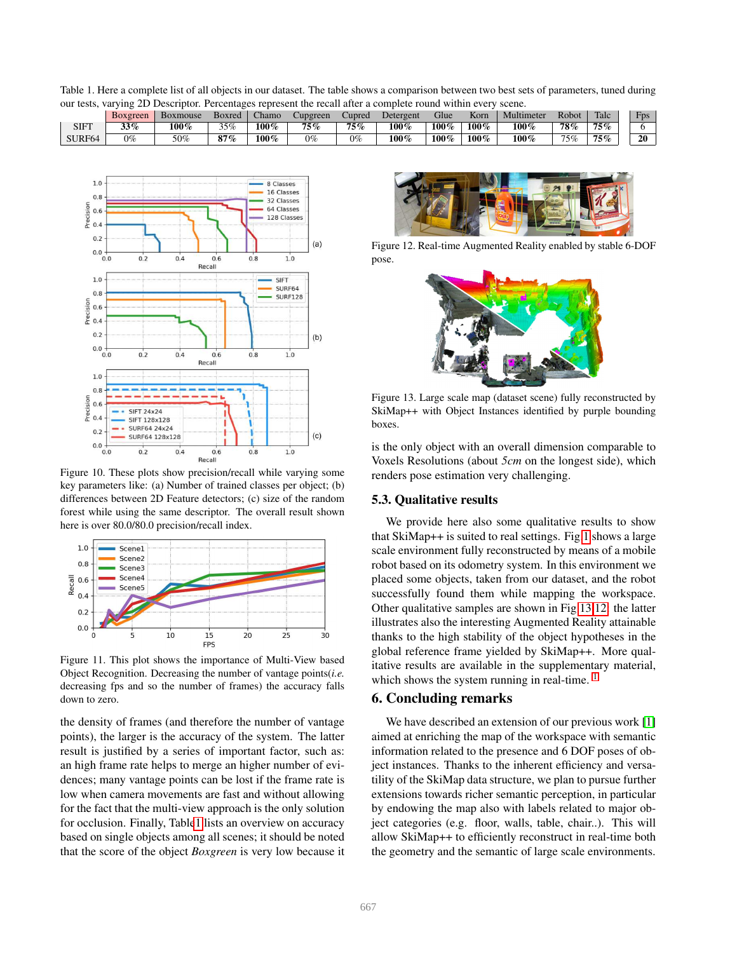<span id="page-7-2"></span>Table 1. Here a complete list of all objects in our dataset. The table shows a comparison between two best sets of parameters, tuned during our tests, varying 2D Descriptor. Percentages represent the recall after a complete round within every scene.

|                    | Boxgreen | Boxmouse | Boxred | hamo: | Cupgreen | Cupred | Detergent | Glue    | <b>TT</b><br>Korn | Multimeter | Robot | Talc | <b>Fps</b> |
|--------------------|----------|----------|--------|-------|----------|--------|-----------|---------|-------------------|------------|-------|------|------------|
| SIFT               | 33%      | 100%     | 35%    | 100%  | 75%      | 75%    | $100\%$   | 100%    | 100%              | $100\%$    | 78%   | 75%  |            |
| SURF <sub>64</sub> | $0\%$    | 50%      | $87\%$ | 100%  | 0%       | $0\%$  | 100%      | $100\%$ | 100%              | $100\%$    | 75%   | 75%  | 20         |



<span id="page-7-0"></span>Figure 10. These plots show precision/recall while varying some key parameters like: (a) Number of trained classes per object; (b) differences between 2D Feature detectors; (c) size of the random forest while using the same descriptor. The overall result shown here is over 80.0/80.0 precision/recall index.



<span id="page-7-1"></span>Figure 11. This plot shows the importance of Multi-View based Object Recognition. Decreasing the number of vantage points(*i.e.* decreasing fps and so the number of frames) the accuracy falls down to zero.

the density of frames (and therefore the number of vantage points), the larger is the accuracy of the system. The latter result is justified by a series of important factor, such as: an high frame rate helps to merge an higher number of evidences; many vantage points can be lost if the frame rate is low when camera movements are fast and without allowing for the fact that the multi-view approach is the only solution for occlusion. Finally, Tabl[e1](#page-7-2) lists an overview on accuracy based on single objects among all scenes; it should be noted that the score of the object *Boxgreen* is very low because it



Figure 12. Real-time Augmented Reality enabled by stable 6-DOF pose.

<span id="page-7-4"></span>

Figure 13. Large scale map (dataset scene) fully reconstructed by SkiMap++ with Object Instances identified by purple bounding boxes.

<span id="page-7-3"></span>is the only object with an overall dimension comparable to Voxels Resolutions (about *5cm* on the longest side), which renders pose estimation very challenging.

## 5.3. Qualitative results

We provide here also some qualitative results to show that SkiMap++ is suited to real settings. Fig[.1](#page-0-0) shows a large scale environment fully reconstructed by means of a mobile robot based on its odometry system. In this environment we placed some objects, taken from our dataset, and the robot successfully found them while mapping the workspace. Other qualitative samples are shown in Fig[.13,](#page-7-3)[12:](#page-7-4) the latter illustrates also the interesting Augmented Reality attainable thanks to the high stability of the object hypotheses in the global reference frame yielded by SkiMap++. More qualitative results are available in the supplementary material, which shows the system running in real-time.  $<sup>1</sup>$  $<sup>1</sup>$  $<sup>1</sup>$ </sup>

# 6. Concluding remarks

We have described an extension of our previous work [\[1\]](#page-8-0) aimed at enriching the map of the workspace with semantic information related to the presence and 6 DOF poses of object instances. Thanks to the inherent efficiency and versatility of the SkiMap data structure, we plan to pursue further extensions towards richer semantic perception, in particular by endowing the map also with labels related to major object categories (e.g. floor, walls, table, chair..). This will allow SkiMap++ to efficiently reconstruct in real-time both the geometry and the semantic of large scale environments.